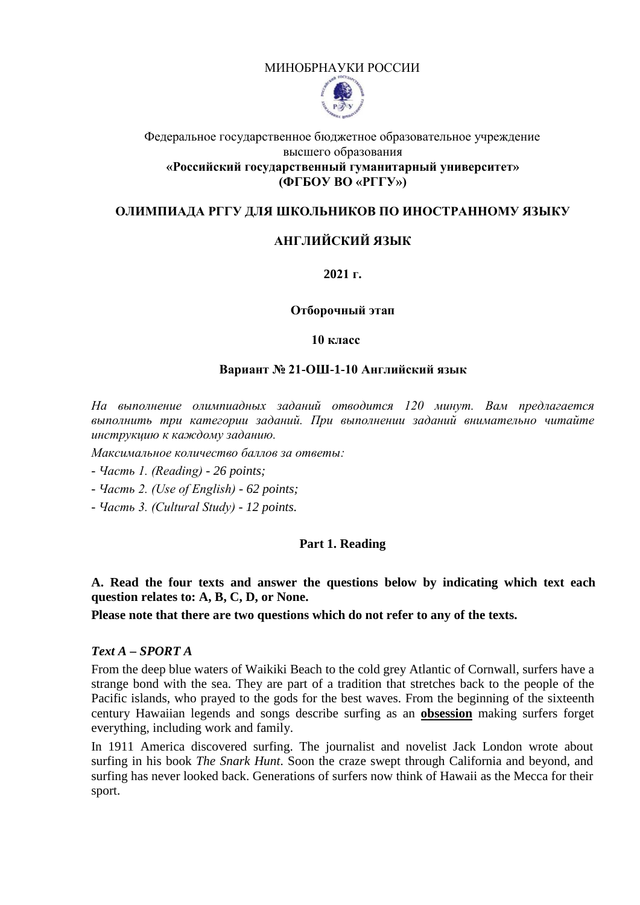## МИНОБРНАУКИ РОССИИ



## Федеральное государственное бюджетное образовательное учреждение высшего образования **«Российский государственный гуманитарный университет» (ФГБОУ ВО «РГГУ»)**

## **ОЛИМПИАДА РГГУ ДЛЯ ШКОЛЬНИКОВ ПО ИНОСТРАННОМУ ЯЗЫКУ**

# **АНГЛИЙСКИЙ ЯЗЫК**

## **2021 г.**

#### **Отборочный этап**

#### **10 класс**

### **Вариант № 21-ОШ-1-10 Английский язык**

*На выполнение олимпиадных заданий отводится 120 минут. Вам предлагается выполнить три категории заданий. При выполнении заданий внимательно читайте инструкцию к каждому заданию.*

*Максимальное количество баллов за ответы:*

- *Часть 1. (Reading) 26 points;*
- *Часть 2. (Use of English) 62 points;*
- *Часть 3. (Cultural Study) 12 points.*

## **Part 1. Reading**

**A. Read the four texts and answer the questions below by indicating which text each question relates to: A, B, C, D, or None.** 

**Please note that there are two questions which do not refer to any of the texts.**

## *Text A – SPORT A*

From the deep blue waters of Waikiki Beach to the cold grey Atlantic of Cornwall, surfers have a strange bond with the sea. They are part of a tradition that stretches back to the people of the Pacific islands, who prayed to the gods for the best waves. From the beginning of the sixteenth century Hawaiian legends and songs describe surfing as an **obsession** making surfers forget everything, including work and family.

In 1911 America discovered surfing. The journalist and novelist Jack London wrote about surfing in his book *The Snark Hunt*. Soon the craze swept through California and beyond, and surfing has never looked back. Generations of surfers now think of Hawaii as the Mecca for their sport.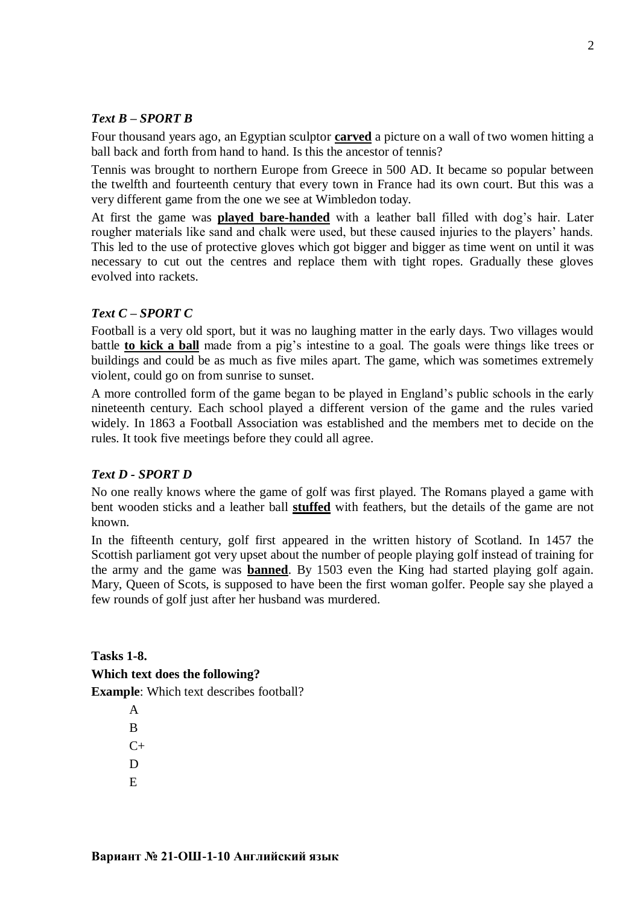# *Text B – SPORT B*

Four thousand years ago, an Egyptian sculptor **carved** a picture on a wall of two women hitting a ball back and forth from hand to hand. Is this the ancestor of tennis?

Tennis was brought to northern Europe from Greece in 500 AD. It became so popular between the twelfth and fourteenth century that every town in France had its own court. But this was a very different game from the one we see at Wimbledon today.

At first the game was **played bare-handed** with a leather ball filled with dog's hair. Later rougher materials like sand and chalk were used, but these caused injuries to the players' hands. This led to the use of protective gloves which got bigger and bigger as time went on until it was necessary to cut out the centres and replace them with tight ropes. Gradually these gloves evolved into rackets.

## *Text C – SPORT C*

Football is a very old sport, but it was no laughing matter in the early days. Two villages would battle **to kick a ball** made from a pig's intestine to a goal. The goals were things like trees or buildings and could be as much as five miles apart. The game, which was sometimes extremely violent, could go on from sunrise to sunset.

A more controlled form of the game began to be played in England's public schools in the early nineteenth century. Each school played a different version of the game and the rules varied widely. In 1863 a Football Association was established and the members met to decide on the rules. It took five meetings before they could all agree.

## *Text D - SPORT D*

No one really knows where the game of golf was first played. The Romans played a game with bent wooden sticks and a leather ball **stuffed** with feathers, but the details of the game are not known.

In the fifteenth century, golf first appeared in the written history of Scotland. In 1457 the Scottish parliament got very upset about the number of people playing golf instead of training for the army and the game was **banned**. By 1503 even the King had started playing golf again. Mary, Queen of Scots, is supposed to have been the first woman golfer. People say she played a few rounds of golf just after her husband was murdered.

**Tasks 1-8. Which text does the following? Example**: Which text describes football?

> A B  $C_{+}$ D  $E$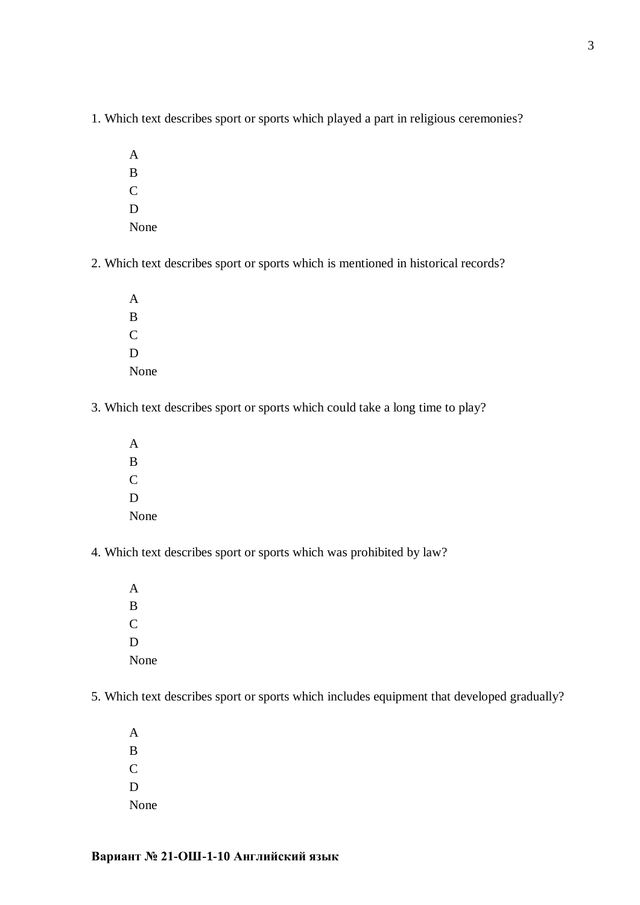- 1. Which text describes sport or sports which played a part in religious ceremonies?
	- A B  $\overline{C}$ D None
- 2. Which text describes sport or sports which is mentioned in historical records?

A B  $\overline{C}$ D None

- 3. Which text describes sport or sports which could take a long time to play?
	- A B C D None
- 4. Which text describes sport or sports which was prohibited by law?
	- A B C D None
- 5. Which text describes sport or sports which includes equipment that developed gradually?

A B  $\overline{C}$ D None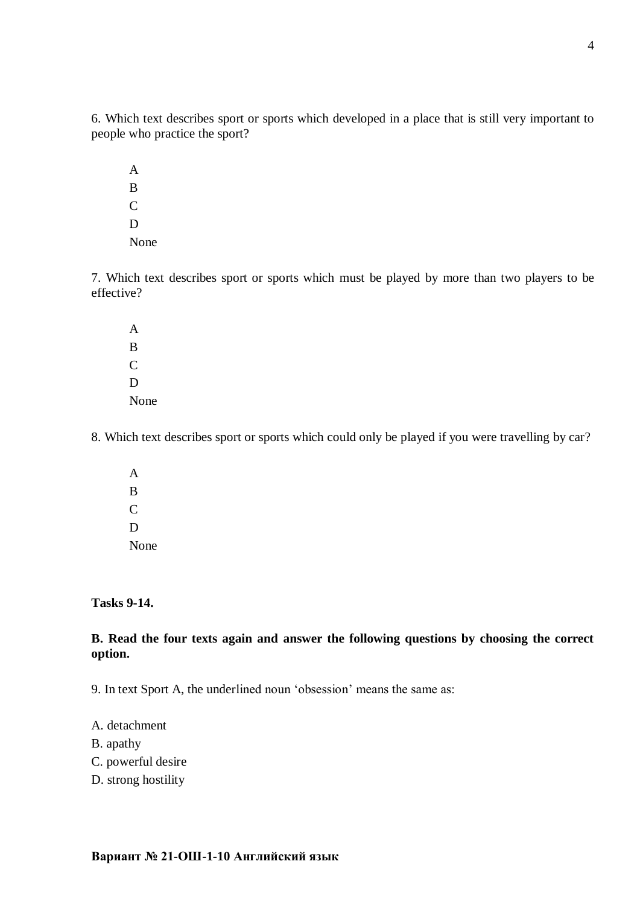6. Which text describes sport or sports which developed in a place that is still very important to people who practice the sport?

A B C D None

7. Which text describes sport or sports which must be played by more than two players to be effective?

A B  $\overline{C}$ D None

8. Which text describes sport or sports which could only be played if you were travelling by car?

A B C D None

**Tasks 9-14.**

**B. Read the four texts again and answer the following questions by choosing the correct option.**

9. In text Sport A, the underlined noun 'obsession' means the same as:

- A. detachment
- B. apathy
- C. powerful desire
- D. strong hostility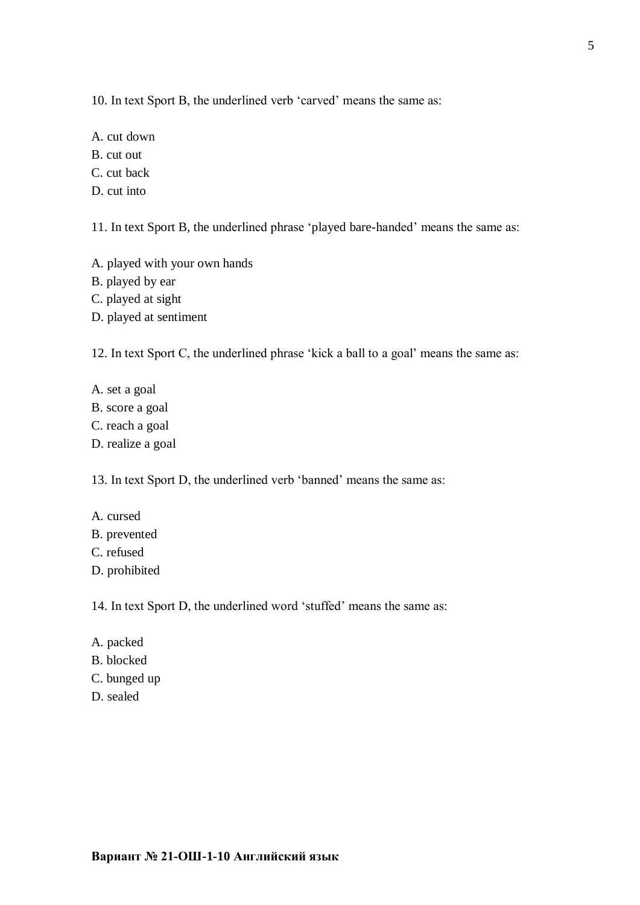10. In text Sport B, the underlined verb 'carved' means the same as:

A. cut down

B. cut out

C. cut back

D. cut into

11. In text Sport B, the underlined phrase 'played bare-handed' means the same as:

A. played with your own hands

B. played by ear

C. played at sight

D. played at sentiment

12. In text Sport C, the underlined phrase 'kick a ball to a goal' means the same as:

- A. set a goal
- B. score a goal
- C. reach a goal
- D. realize a goal

13. In text Sport D, the underlined verb 'banned' means the same as:

A. cursed B. prevented C. refused D. prohibited

14. In text Sport D, the underlined word 'stuffed' means the same as:

- A. packed
- B. blocked
- C. bunged up
- D. sealed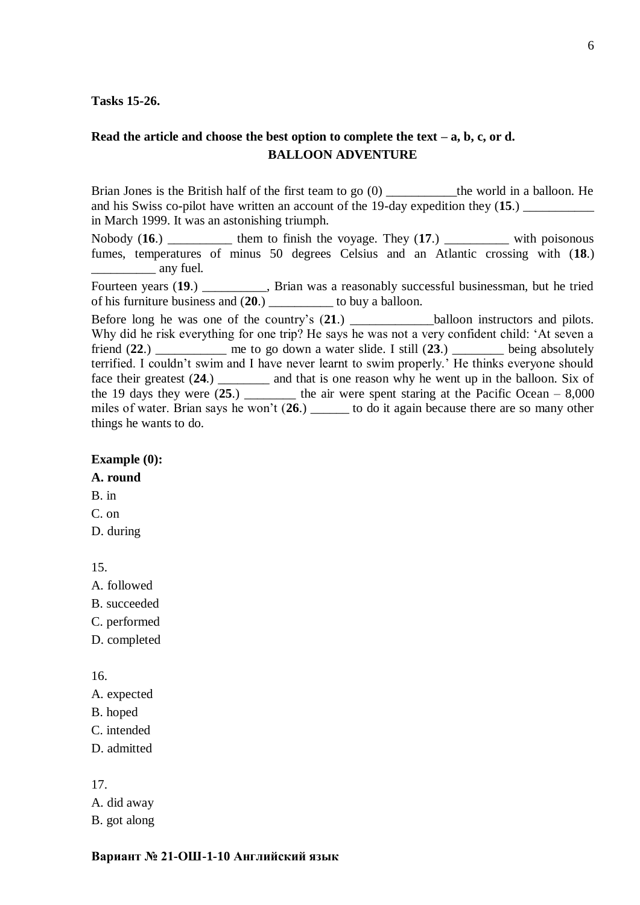### **Tasks 15-26.**

# **Read the article and choose the best option to complete the text – a, b, c, or d. BALLOON ADVENTURE**

Brian Jones is the British half of the first team to go (0) \_\_\_\_\_\_\_\_\_\_\_\_the world in a balloon. He and his Swiss co-pilot have written an account of the 19-day expedition they  $(15.)$ in March 1999. It was an astonishing triumph.

Nobody (16.) \_\_\_\_\_\_\_\_\_\_\_ them to finish the voyage. They (17.) \_\_\_\_\_\_\_\_\_\_ with poisonous fumes, temperatures of minus 50 degrees Celsius and an Atlantic crossing with (**18**.) any fuel.

Fourteen years (19.) \_\_\_\_\_\_\_\_\_, Brian was a reasonably successful businessman, but he tried of his furniture business and (**20**.) \_\_\_\_\_\_\_\_\_\_ to buy a balloon.

Before long he was one of the country's (**21**.) \_\_\_\_\_\_\_\_\_\_\_\_\_balloon instructors and pilots. Why did he risk everything for one trip? He says he was not a very confident child: 'At seven a friend (**22**.) \_\_\_\_\_\_\_\_\_\_\_ me to go down a water slide. I still (**23**.) \_\_\_\_\_\_\_\_ being absolutely terrified. I couldn't swim and I have never learnt to swim properly.' He thinks everyone should face their greatest (**24**.) \_\_\_\_\_\_\_\_ and that is one reason why he went up in the balloon. Six of the 19 days they were  $(25.)$  \_\_\_\_\_\_\_\_\_ the air were spent staring at the Pacific Ocean  $-8,000$ miles of water. Brian says he won't (**26**.) \_\_\_\_\_\_ to do it again because there are so many other things he wants to do.

#### **Example (0):**

**A. round**

B. in

C. on

D. during

15.

A. followed

B. succeeded

C. performed

D. completed

16.

A. expected

B. hoped

C. intended

D. admitted

17.

A. did away B. got along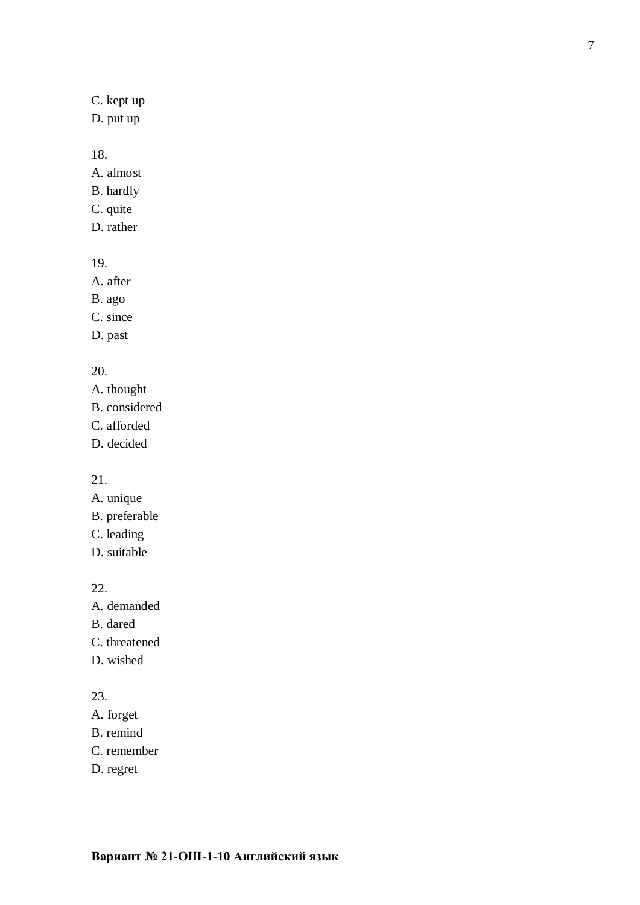C. kept up

D. put up

## 18.

A. almost

- B. hardly
- C. quite
- D. rather

# 19.

A. after

B. ago

C. since

D. past

# 20.

A. thought B. considered C. afforded

D. decided

21.

- A. unique
- B. preferable
- C. leading
- D. suitable

# 22.

A. demanded

- B. dared
- C. threatened
- D. wished

# 23.

- A. forget
- B. remind
- C. remember
- D. regret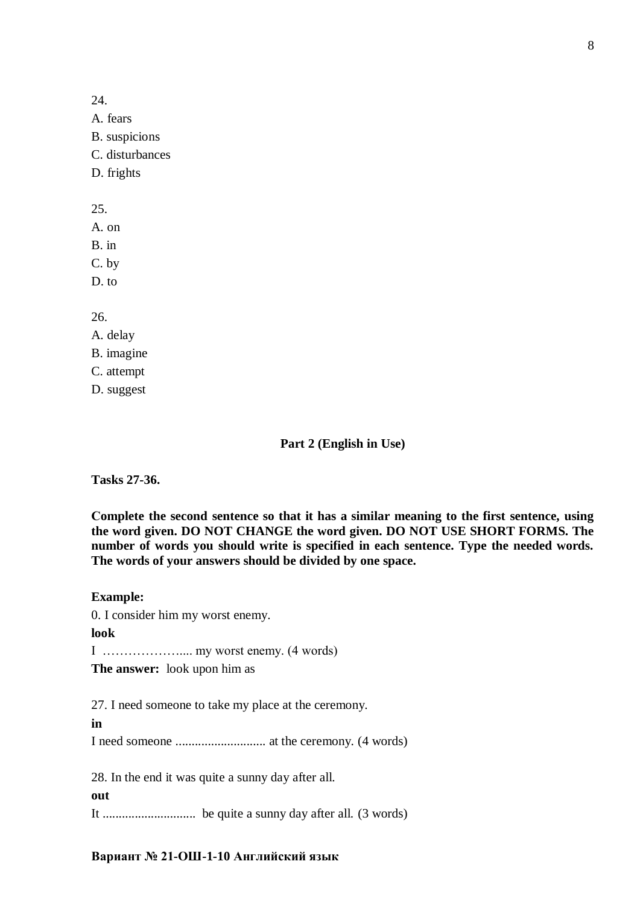24. A. fears B. suspicions C. disturbances D. frights 25. A. on B. in C. by D. to 26.

# A. delay B. imagine C. attempt D. suggest

## **Part 2 (English in Use)**

**Tasks 27-36.**

**Сomplete the second sentence so that it has a similar meaning to the first sentence, using the word given. DO NOT CHANGE the word given. DO NOT USE SHORT FORMS. The number of words you should write is specified in each sentence. Type the needed words. The words of your answers should be divided by one space.**

**Example:**

0. I consider him my worst enemy.

**look**

I ……………….... my worst enemy. (4 words)

**The answer:** look upon him as

27. I need someone to take my place at the ceremony.

**in** I need someone ............................ at the ceremony. (4 words)

28. In the end it was quite a sunny day after all.

**out**

It ............................. be quite a sunny day after all. (3 words)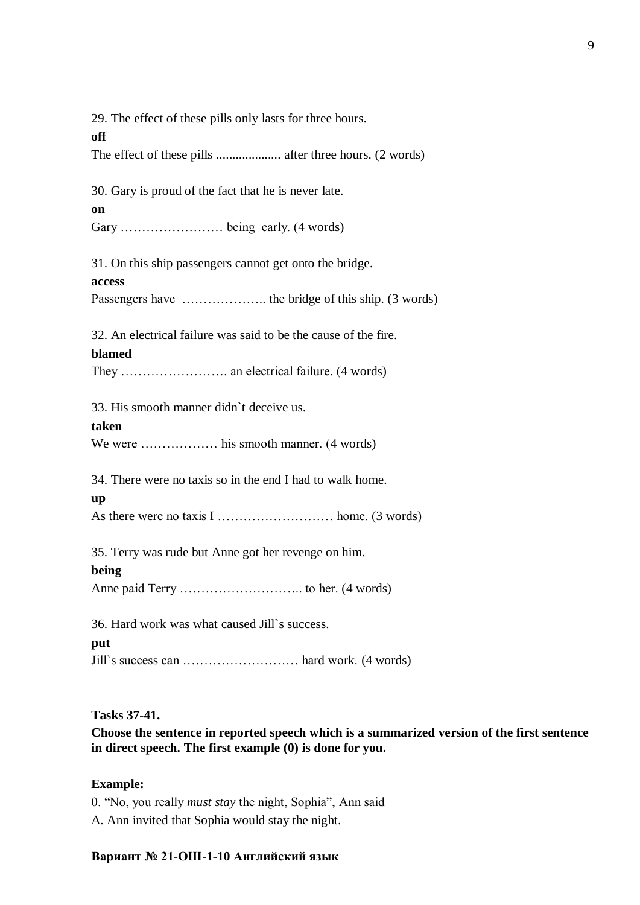29. The effect of these pills only lasts for three hours. **off** The effect of these pills .................... after three hours. (2 words) 30. Gary is proud of the fact that he is never late. **on** Gary …………………… being early. (4 words) 31. On this ship passengers cannot get onto the bridge. **access** Passengers have ……………….. the bridge of this ship. (3 words) 32. An electrical failure was said to be the cause of the fire. **blamed** They ……………………. an electrical failure. (4 words) 33. His smooth manner didn`t deceive us. **taken** We were ……………… his smooth manner. (4 words) 34. There were no taxis so in the end I had to walk home. **up** As there were no taxis I ……………………… home. (3 words) 35. Terry was rude but Anne got her revenge on him. **being** Anne paid Terry ……………………….. to her. (4 words) 36. Hard work was what caused Jill`s success. **put** Jill`s success can ……………………… hard work. (4 words)

# **Tasks 37-41.**

**Choose the sentence in reported speech which is a summarized version of the first sentence in direct speech. The first example (0) is done for you.**

## **Example:**

0. "No, you really *must stay* the night, Sophia", Ann said

A. Ann invited that Sophia would stay the night.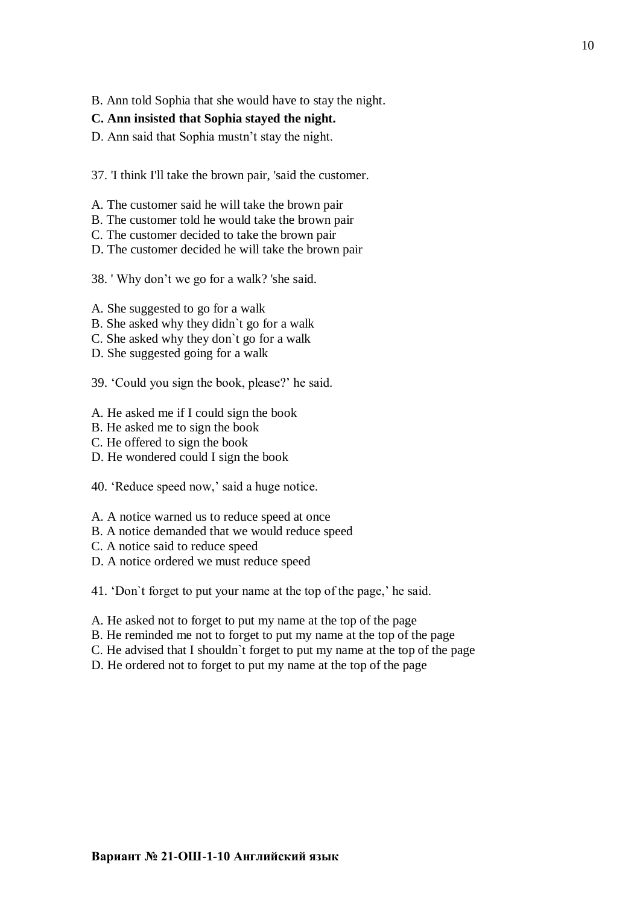B. Ann told Sophia that she would have to stay the night.

### **C. Ann insisted that Sophia stayed the night.**

D. Ann said that Sophia mustn't stay the night.

37. 'I think I'll take the brown pair, 'said the customer.

- A. The customer said he will take the brown pair
- B. The customer told he would take the brown pair
- C. The customer decided to take the brown pair
- D. The customer decided he will take the brown pair

38. ' Why don't we go for a walk? 'she said.

A. She suggested to go for a walk

- B. She asked why they didn`t go for a walk
- C. She asked why they don`t go for a walk
- D. She suggested going for a walk
- 39. 'Could you sign the book, please?' he said.

A. He asked me if I could sign the book

- B. He asked me to sign the book
- C. He offered to sign the book
- D. He wondered could I sign the book
- 40. 'Reduce speed now,' said a huge notice.
- A. A notice warned us to reduce speed at once
- B. A notice demanded that we would reduce speed
- C. A notice said to reduce speed
- D. A notice ordered we must reduce speed

41. 'Don`t forget to put your name at the top of the page,' he said.

- A. He asked not to forget to put my name at the top of the page
- B. He reminded me not to forget to put my name at the top of the page
- C. He advised that I shouldn`t forget to put my name at the top of the page
- D. He ordered not to forget to put my name at the top of the page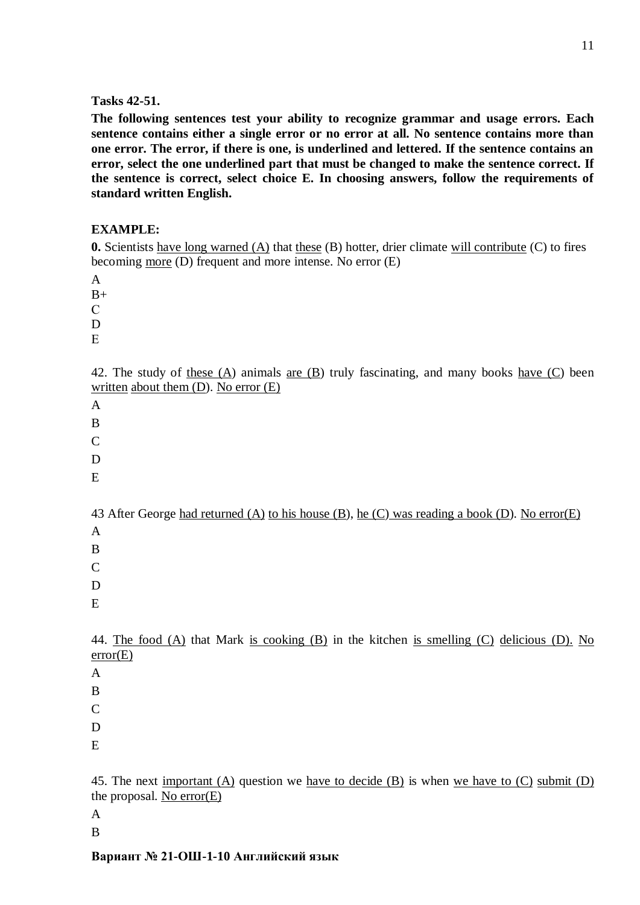### **Tasks 42-51.**

**The following sentences test your ability to recognize grammar and usage errors. Each sentence contains either a single error or no error at all. No sentence contains more than one error. The error, if there is one, is underlined and lettered. If the sentence contains an error, select the one underlined part that must be changed to make the sentence correct. If the sentence is correct, select choice E. In choosing answers, follow the requirements of standard written English.**

## **EXAMPLE:**

**0.** Scientists have long warned (A) that these (B) hotter, drier climate will contribute (C) to fires becoming more (D) frequent and more intense. No error (E)

A

 $B+$ 

С D

Е

42. The study of these (A) animals are (B) truly fascinating, and many books have (C) been written about them  $(D)$ . No error  $(E)$ 

A

B

C

D

E

43 After George had returned (A) to his house (B), he (C) was reading a book (D). No error(E)

A

B

C

D

E

44. The food  $(A)$  that Mark is cooking  $(B)$  in the kitchen is smelling  $(C)$  delicious  $(D)$ . No error(E)

A

B

 $\mathcal{C}$ 

D

E

45. The next important (A) question we have to decide (B) is when we have to  $(C)$  submit  $(D)$ the proposal. No error(E)

A

B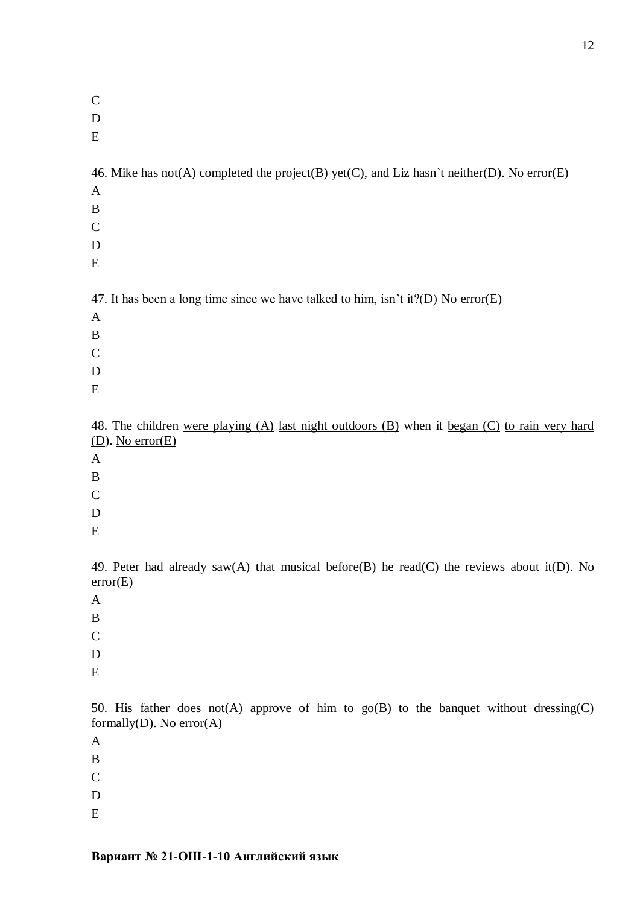| $\mathbf C$                                                                                      |
|--------------------------------------------------------------------------------------------------|
| D                                                                                                |
| E                                                                                                |
|                                                                                                  |
| 46. Mike has not(A) completed the project(B) yet(C), and Liz hasn't neither(D). No error(E)      |
| A                                                                                                |
| B                                                                                                |
| $\mathsf{C}$                                                                                     |
| D                                                                                                |
| E                                                                                                |
|                                                                                                  |
| 47. It has been a long time since we have talked to him, isn't it?(D) No error(E)                |
| $\mathbf{A}$                                                                                     |
| B                                                                                                |
| $\mathbf C$                                                                                      |
| D                                                                                                |
| E                                                                                                |
|                                                                                                  |
| 48. The children were playing (A) last night outdoors (B) when it began (C) to rain very hard    |
| $(D)$ . No error $(E)$                                                                           |
| A                                                                                                |
| B                                                                                                |
| $\mathsf{C}$                                                                                     |
| D                                                                                                |
| E                                                                                                |
| 49. Peter had already saw(A) that musical before(B) he read(C) the reviews about it(D). No       |
| error(E)                                                                                         |
| $\mathbf{A}$                                                                                     |
| B                                                                                                |
| $\mathcal{C}$                                                                                    |
| D                                                                                                |
| E                                                                                                |
|                                                                                                  |
| 50. His father <u>does not(A)</u> approve of $\lim_{x \to a}$ to the banquet without dressing(C) |
| formally $(D)$ . No error $(A)$                                                                  |
| A                                                                                                |
| B                                                                                                |
| $\mathbf C$                                                                                      |
| D                                                                                                |
| E                                                                                                |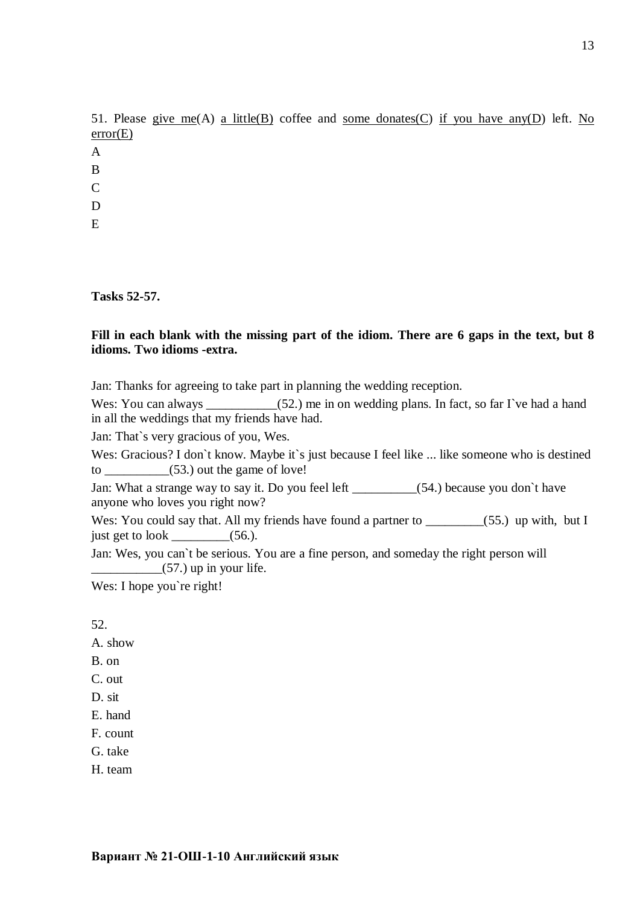|              |          |  |  |  | 51. Please give me(A) a little(B) coffee and some donates(C) if you have any (D) left. No |  |  |  |
|--------------|----------|--|--|--|-------------------------------------------------------------------------------------------|--|--|--|
|              | error(E) |  |  |  |                                                                                           |  |  |  |
| A            |          |  |  |  |                                                                                           |  |  |  |
| <sup>B</sup> |          |  |  |  |                                                                                           |  |  |  |
| C            |          |  |  |  |                                                                                           |  |  |  |
| D            |          |  |  |  |                                                                                           |  |  |  |

E

**Tasks 52-57.**

## **Fill in each blank with the missing part of the idiom. There are 6 gaps in the text, but 8 idioms. Two idioms -extra.**

Jan: Thanks for agreeing to take part in planning the wedding reception.

Wes: You can always  $(52.)$  me in on wedding plans. In fact, so far I`ve had a hand in all the weddings that my friends have had.

Jan: That`s very gracious of you, Wes.

Wes: Gracious? I don't know. Maybe it's just because I feel like ... like someone who is destined to  $\qquad \qquad$  (53.) out the game of love!

Jan: What a strange way to say it. Do you feel left (54.) because you don't have anyone who loves you right now?

Wes: You could say that. All my friends have found a partner to \_\_\_\_\_\_\_\_\_(55.) up with, but I just get to look \_\_\_\_\_\_\_\_\_\_(56.).

Jan: Wes, you can`t be serious. You are a fine person, and someday the right person will  $\frac{1}{2}$  (57.) up in your life.

Wes: I hope you're right!

52.

A. show

- B. on
- C. out
- D. sit

E. hand

F. count

G. take

H. team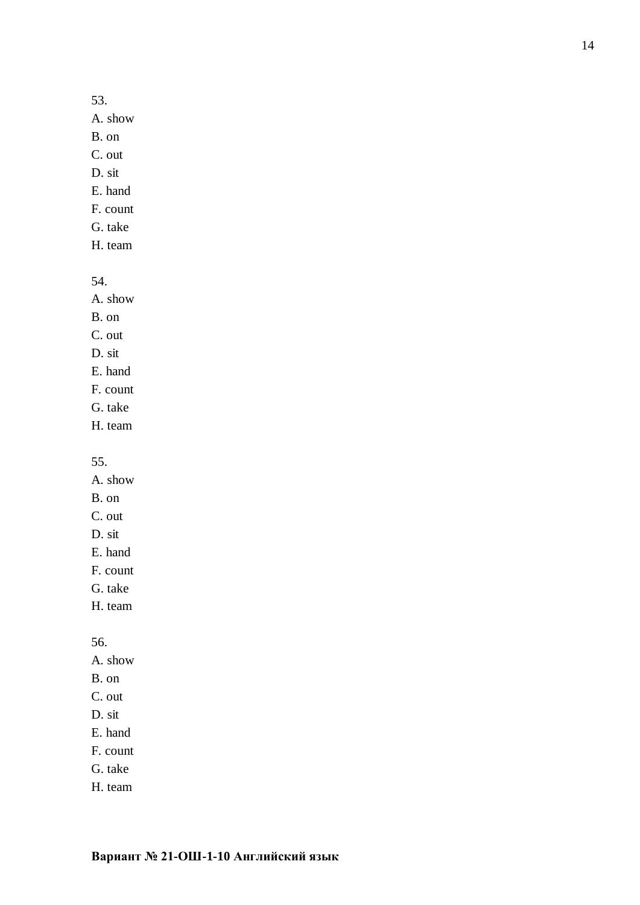### 53.

A. show

B. on

C. out

- D. sit
- E. hand F. count
- G. take
- 
- H. team

54.

- A. show
- B. on
- C. out
- D. sit
- E. hand
- F. count
- G. take
- H. team

55.

- A. show B. on C. out D. sit
- E. hand
- F. count
- G. take
- H. team

56.

- A. show
- B. on
- C. out
- D. sit
- E. hand
- F. count
- G. take
- H. team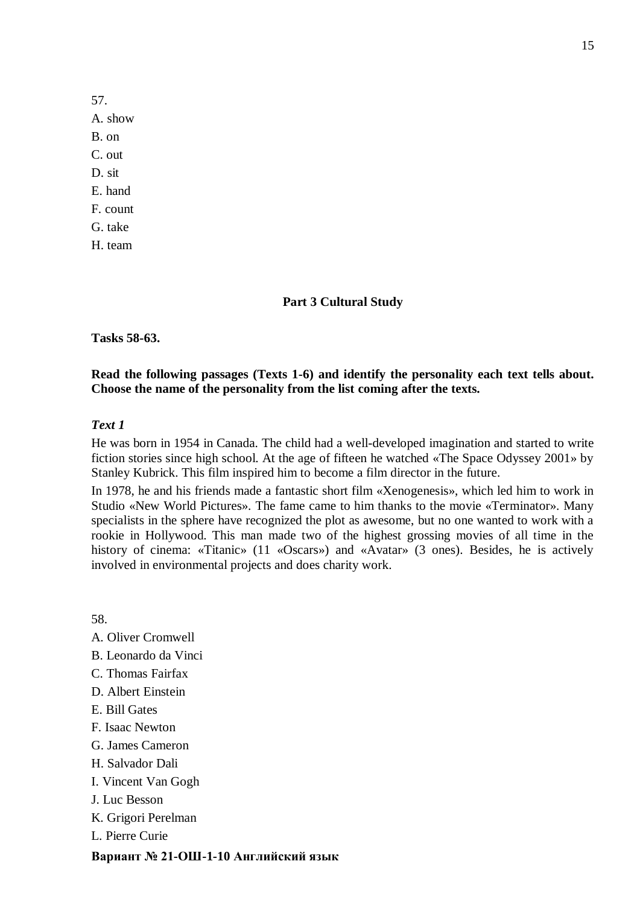57. A. show B. on C. out D. sit E. hand F. count G. take H. team

### **Part 3 Cultural Study**

**Tasks 58-63.**

#### **Read the following passages (Texts 1-6) and identify the personality each text tells about. Choose the name of the personality from the list coming after the texts.**

#### *Text 1*

He was born in 1954 in Canada. The child had a well-developed imagination and started to write fiction stories since high school. At the age of fifteen he watched «The Space Odyssey 2001» by Stanley Kubrick. This film inspired him to become a film director in the future.

In 1978, he and his friends made a fantastic short film «Xenogenesis», which led him to work in Studio «New World Pictures». The fame came to him thanks to the movie «Terminator». Many specialists in the sphere have recognized the plot as awesome, but no one wanted to work with a rookie in Hollywood. This man made two of the highest grossing movies of all time in the history of cinema: «Titanic» (11 «Oscars») and «Avatar» (3 ones). Besides, he is actively involved in environmental projects and does charity work.

58.

- A. Oliver Cromwell
- B. Leonardo da Vinci
- C. Thomas Fairfax
- D. Albert Einstein
- E. Bill Gates
- F. Isaac Newton
- G. James Cameron
- H. Salvador Dali
- I. Vincent Van Gogh
- J. Luc Besson
- K. Grigori Perelman
- L. Pierre Curie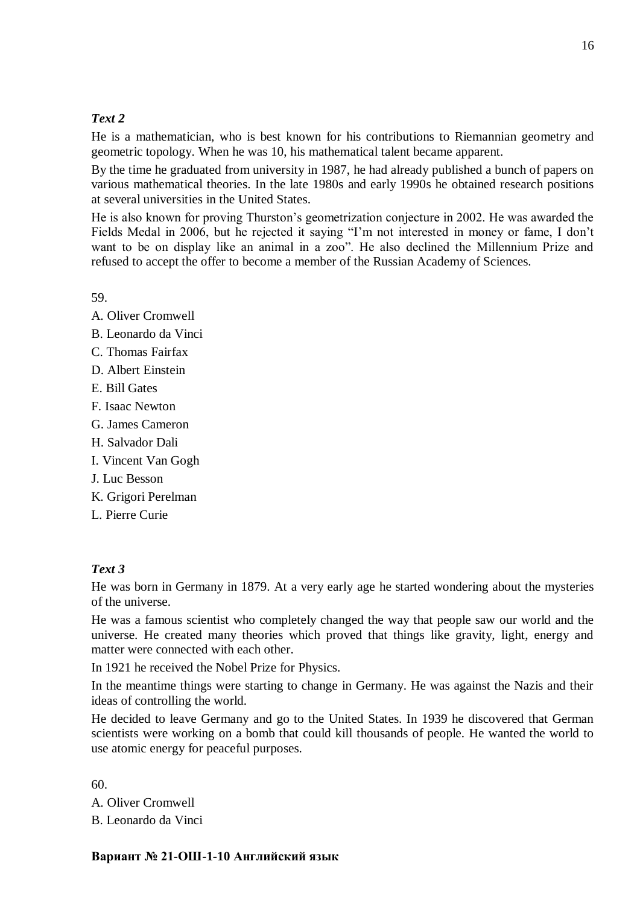# *Text 2*

He is a mathematician, who is best known for his contributions to Riemannian geometry and geometric topology. When he was 10, his mathematical talent became apparent.

By the time he graduated from university in 1987, he had already published a bunch of papers on various mathematical theories. In the late 1980s and early 1990s he obtained research positions at several universities in the United States.

He is also known for proving Thurston's geometrization conjecture in 2002. He was awarded the Fields Medal in 2006, but he rejected it saying "I'm not interested in money or fame, I don't want to be on display like an animal in a zoo". He also declined the Millennium Prize and refused to accept the offer to become a member of the Russian Academy of Sciences.

59.

- A. Oliver Cromwell
- B. Leonardo da Vinci
- C. Thomas Fairfax
- D. Albert Einstein
- E. Bill Gates
- F. Isaac Newton
- G. James Cameron
- H. Salvador Dali
- I. Vincent Van Gogh
- J. Luc Besson
- K. Grigori Perelman
- L. Pierre Curie

# *Text 3*

He was born in Germany in 1879. At a very early age he started wondering about the mysteries of the universe.

He was a famous scientist who completely changed the way that people saw our world and the universe. He created many theories which proved that things like gravity, light, energy and matter were connected with each other.

In 1921 he received the Nobel Prize for Physics.

In the meantime things were starting to change in Germany. He was against the Nazis and their ideas of controlling the world.

He decided to leave Germany and go to the United States. In 1939 he discovered that German scientists were working on a bomb that could kill thousands of people. He wanted the world to use atomic energy for peaceful purposes.

60.

A. Oliver Cromwell B. Leonardo da Vinci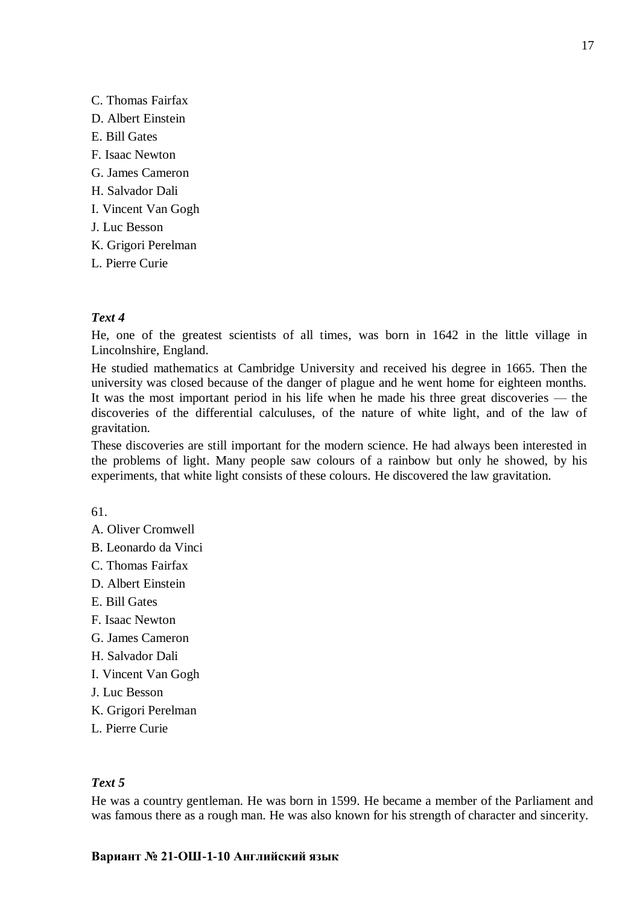C. Thomas Fairfax D. Albert Einstein E. Bill Gates F. Isaac Newton G. James Cameron H. Salvador Dali I. Vincent Van Gogh J. Luc Besson K. Grigori Perelman L. Pierre Curie

## *Text 4*

He, one of the greatest scientists of all times, was born in 1642 in the little village in Lincolnshire, England.

He studied mathematics at Cambridge University and received his degree in 1665. Then the university was closed because of the danger of plague and he went home for eighteen months. It was the most important period in his life when he made his three great discoveries — the discoveries of the differential calculuses, of the nature of white light, and of the law of gravitation.

These discoveries are still important for the modern science. He had always been interested in the problems of light. Many people saw colours of a rainbow but only he showed, by his experiments, that white light consists of these colours. He discovered the law gravitation.

61.

- A. Oliver Cromwell
- B. Leonardo da Vinci
- C. Thomas Fairfax
- D. Albert Einstein
- E. Bill Gates
- F. Isaac Newton
- G. James Cameron
- H. Salvador Dali
- I. Vincent Van Gogh
- J. Luc Besson
- K. Grigori Perelman
- L. Pierre Curie

## *Text 5*

He was a country gentleman. He was born in 1599. He became a member of the Parliament and was famous there as a rough man. He was also known for his strength of character and sincerity.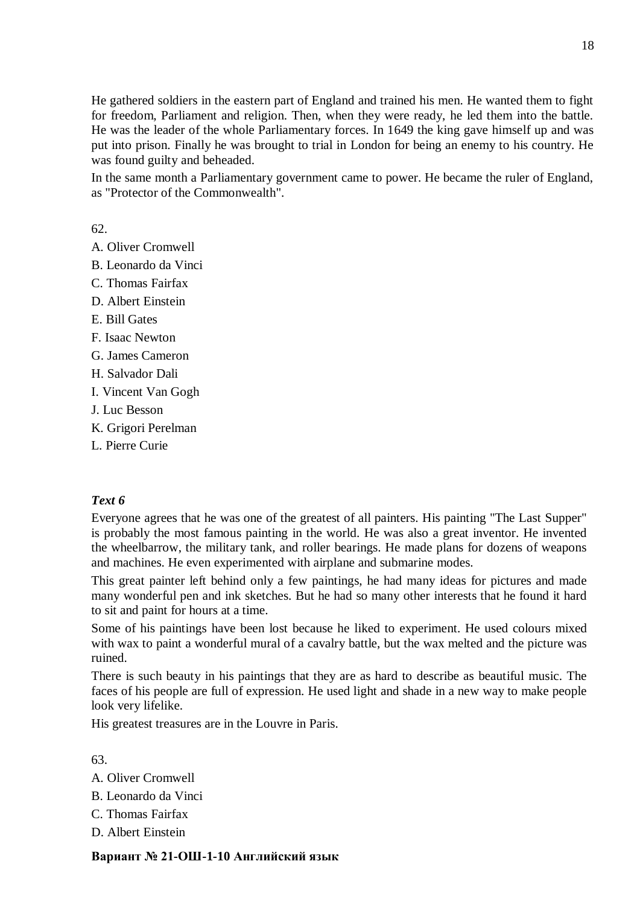He gathered soldiers in the eastern part of England and trained his men. He wanted them to fight for freedom, Parliament and religion. Then, when they were ready, he led them into the battle. He was the leader of the whole Parliamentary forces. In 1649 the king gave himself up and was put into prison. Finally he was brought to trial in London for being an enemy to his country. He was found guilty and beheaded.

In the same month a Parliamentary government came to power. He became the ruler of England, as "Protector of the Commonwealth".

62.

- A. Oliver Cromwell
- B. Leonardo da Vinci
- C. Thomas Fairfax
- D. Albert Einstein
- E. Bill Gates
- F. Isaac Newton
- G. James Cameron
- H. Salvador Dali
- I. Vincent Van Gogh
- J. Luc Besson
- K. Grigori Perelman
- L. Pierre Curie

# *Text 6*

Everyone agrees that he was one of the greatest of all painters. His painting "The Last Supper" is probably the most famous painting in the world. He was also a great inventor. He invented the wheelbarrow, the military tank, and roller bearings. He made plans for dozens of weapons and machines. He even experimented with airplane and submarine modes.

This great painter left behind only a few paintings, he had many ideas for pictures and made many wonderful pen and ink sketches. But he had so many other interests that he found it hard to sit and paint for hours at a time.

Some of his paintings have been lost because he liked to experiment. He used colours mixed with wax to paint a wonderful mural of a cavalry battle, but the wax melted and the picture was ruined.

There is such beauty in his paintings that they are as hard to describe as beautiful music. The faces of his people are full of expression. He used light and shade in a new way to make people look very lifelike.

His greatest treasures are in the Louvre in Paris.

63.

- A. Oliver Cromwell
- B. Leonardo da Vinci
- C. Thomas Fairfax
- D. Albert Einstein